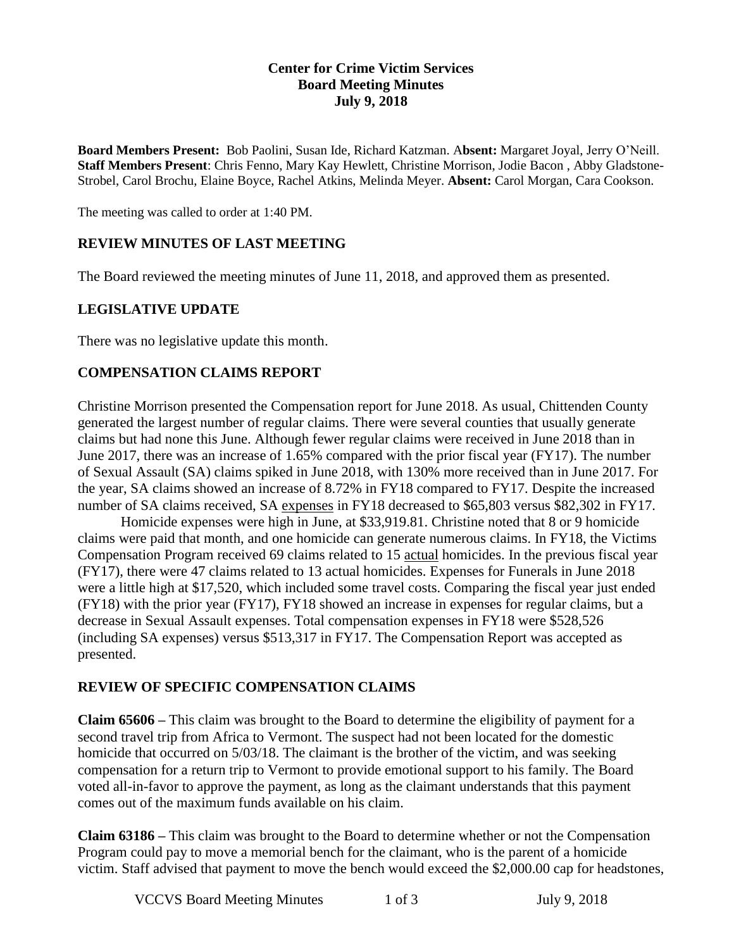### **Center for Crime Victim Services Board Meeting Minutes July 9, 2018**

**Board Members Present:** Bob Paolini, Susan Ide, Richard Katzman. A**bsent:** Margaret Joyal, Jerry O'Neill. **Staff Members Present**: Chris Fenno, Mary Kay Hewlett, Christine Morrison, Jodie Bacon , Abby Gladstone-Strobel, Carol Brochu, Elaine Boyce, Rachel Atkins, Melinda Meyer. **Absent:** Carol Morgan, Cara Cookson.

The meeting was called to order at 1:40 PM.

### **REVIEW MINUTES OF LAST MEETING**

The Board reviewed the meeting minutes of June 11, 2018, and approved them as presented.

### **LEGISLATIVE UPDATE**

There was no legislative update this month.

### **COMPENSATION CLAIMS REPORT**

Christine Morrison presented the Compensation report for June 2018. As usual, Chittenden County generated the largest number of regular claims. There were several counties that usually generate claims but had none this June. Although fewer regular claims were received in June 2018 than in June 2017, there was an increase of 1.65% compared with the prior fiscal year (FY17). The number of Sexual Assault (SA) claims spiked in June 2018, with 130% more received than in June 2017. For the year, SA claims showed an increase of 8.72% in FY18 compared to FY17. Despite the increased number of SA claims received, SA expenses in FY18 decreased to \$65,803 versus \$82,302 in FY17.

Homicide expenses were high in June, at \$33,919.81. Christine noted that 8 or 9 homicide claims were paid that month, and one homicide can generate numerous claims. In FY18, the Victims Compensation Program received 69 claims related to 15 actual homicides. In the previous fiscal year (FY17), there were 47 claims related to 13 actual homicides. Expenses for Funerals in June 2018 were a little high at \$17,520, which included some travel costs. Comparing the fiscal year just ended (FY18) with the prior year (FY17), FY18 showed an increase in expenses for regular claims, but a decrease in Sexual Assault expenses. Total compensation expenses in FY18 were \$528,526 (including SA expenses) versus \$513,317 in FY17. The Compensation Report was accepted as presented.

### **REVIEW OF SPECIFIC COMPENSATION CLAIMS**

**Claim 65606 –** This claim was brought to the Board to determine the eligibility of payment for a second travel trip from Africa to Vermont. The suspect had not been located for the domestic homicide that occurred on 5/03/18. The claimant is the brother of the victim, and was seeking compensation for a return trip to Vermont to provide emotional support to his family. The Board voted all-in-favor to approve the payment, as long as the claimant understands that this payment comes out of the maximum funds available on his claim.

**Claim 63186 –** This claim was brought to the Board to determine whether or not the Compensation Program could pay to move a memorial bench for the claimant, who is the parent of a homicide victim. Staff advised that payment to move the bench would exceed the \$2,000.00 cap for headstones,

VCCVS Board Meeting Minutes 1 of 3 July 9, 2018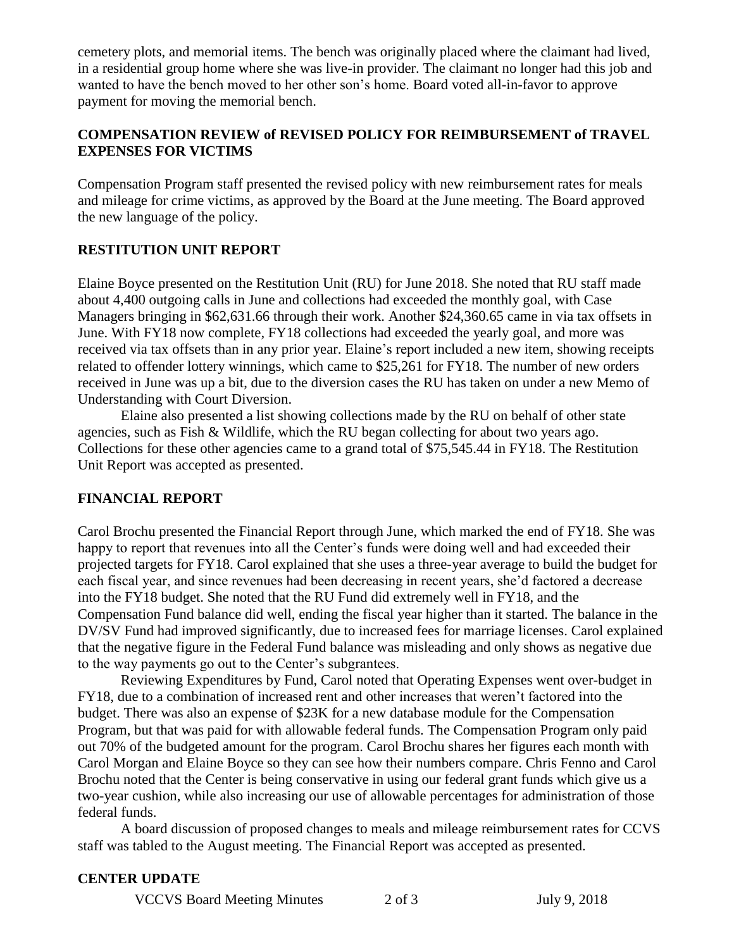cemetery plots, and memorial items. The bench was originally placed where the claimant had lived, in a residential group home where she was live-in provider. The claimant no longer had this job and wanted to have the bench moved to her other son's home. Board voted all-in-favor to approve payment for moving the memorial bench.

### **COMPENSATION REVIEW of REVISED POLICY FOR REIMBURSEMENT of TRAVEL EXPENSES FOR VICTIMS**

Compensation Program staff presented the revised policy with new reimbursement rates for meals and mileage for crime victims, as approved by the Board at the June meeting. The Board approved the new language of the policy.

# **RESTITUTION UNIT REPORT**

Elaine Boyce presented on the Restitution Unit (RU) for June 2018. She noted that RU staff made about 4,400 outgoing calls in June and collections had exceeded the monthly goal, with Case Managers bringing in \$62,631.66 through their work. Another \$24,360.65 came in via tax offsets in June. With FY18 now complete, FY18 collections had exceeded the yearly goal, and more was received via tax offsets than in any prior year. Elaine's report included a new item, showing receipts related to offender lottery winnings, which came to \$25,261 for FY18. The number of new orders received in June was up a bit, due to the diversion cases the RU has taken on under a new Memo of Understanding with Court Diversion.

Elaine also presented a list showing collections made by the RU on behalf of other state agencies, such as Fish & Wildlife, which the RU began collecting for about two years ago. Collections for these other agencies came to a grand total of \$75,545.44 in FY18. The Restitution Unit Report was accepted as presented.

## **FINANCIAL REPORT**

Carol Brochu presented the Financial Report through June, which marked the end of FY18. She was happy to report that revenues into all the Center's funds were doing well and had exceeded their projected targets for FY18. Carol explained that she uses a three-year average to build the budget for each fiscal year, and since revenues had been decreasing in recent years, she'd factored a decrease into the FY18 budget. She noted that the RU Fund did extremely well in FY18, and the Compensation Fund balance did well, ending the fiscal year higher than it started. The balance in the DV/SV Fund had improved significantly, due to increased fees for marriage licenses. Carol explained that the negative figure in the Federal Fund balance was misleading and only shows as negative due to the way payments go out to the Center's subgrantees.

Reviewing Expenditures by Fund, Carol noted that Operating Expenses went over-budget in FY18, due to a combination of increased rent and other increases that weren't factored into the budget. There was also an expense of \$23K for a new database module for the Compensation Program, but that was paid for with allowable federal funds. The Compensation Program only paid out 70% of the budgeted amount for the program. Carol Brochu shares her figures each month with Carol Morgan and Elaine Boyce so they can see how their numbers compare. Chris Fenno and Carol Brochu noted that the Center is being conservative in using our federal grant funds which give us a two-year cushion, while also increasing our use of allowable percentages for administration of those federal funds.

A board discussion of proposed changes to meals and mileage reimbursement rates for CCVS staff was tabled to the August meeting. The Financial Report was accepted as presented.

### **CENTER UPDATE**

VCCVS Board Meeting Minutes 2 of 3 July 9, 2018